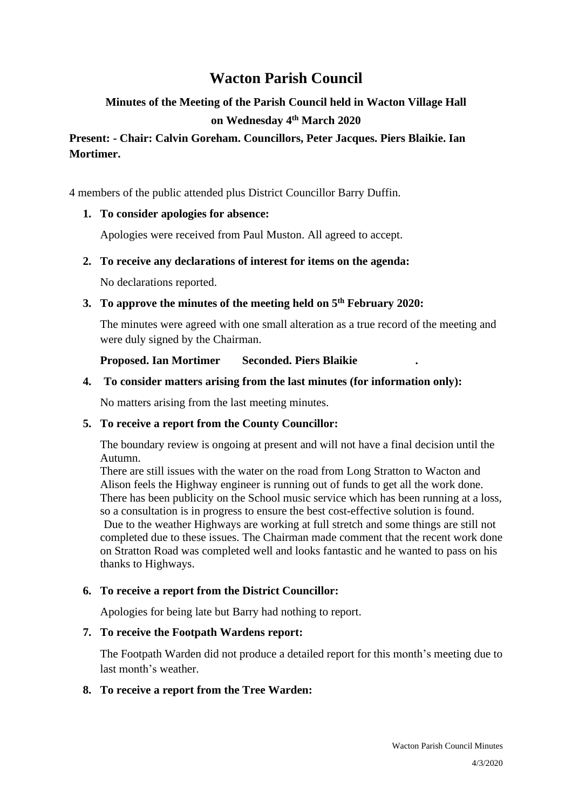# **Wacton Parish Council**

# **Minutes of the Meeting of the Parish Council held in Wacton Village Hall on Wednesday 4 th March 2020**

# **Present: - Chair: Calvin Goreham. Councillors, Peter Jacques. Piers Blaikie. Ian Mortimer.**

4 members of the public attended plus District Councillor Barry Duffin.

## **1. To consider apologies for absence:**

Apologies were received from Paul Muston. All agreed to accept.

## **2. To receive any declarations of interest for items on the agenda:**

No declarations reported.

## **3. To approve the minutes of the meeting held on 5 th February 2020:**

The minutes were agreed with one small alteration as a true record of the meeting and were duly signed by the Chairman.

## **Proposed. Ian Mortimer Seconded. Piers Blaikie .**

## **4. To consider matters arising from the last minutes (for information only):**

No matters arising from the last meeting minutes.

## **5. To receive a report from the County Councillor:**

The boundary review is ongoing at present and will not have a final decision until the Autumn.

There are still issues with the water on the road from Long Stratton to Wacton and Alison feels the Highway engineer is running out of funds to get all the work done. There has been publicity on the School music service which has been running at a loss, so a consultation is in progress to ensure the best cost-effective solution is found. Due to the weather Highways are working at full stretch and some things are still not completed due to these issues. The Chairman made comment that the recent work done on Stratton Road was completed well and looks fantastic and he wanted to pass on his thanks to Highways.

## **6. To receive a report from the District Councillor:**

Apologies for being late but Barry had nothing to report.

# **7. To receive the Footpath Wardens report:**

The Footpath Warden did not produce a detailed report for this month's meeting due to last month's weather.

# **8. To receive a report from the Tree Warden:**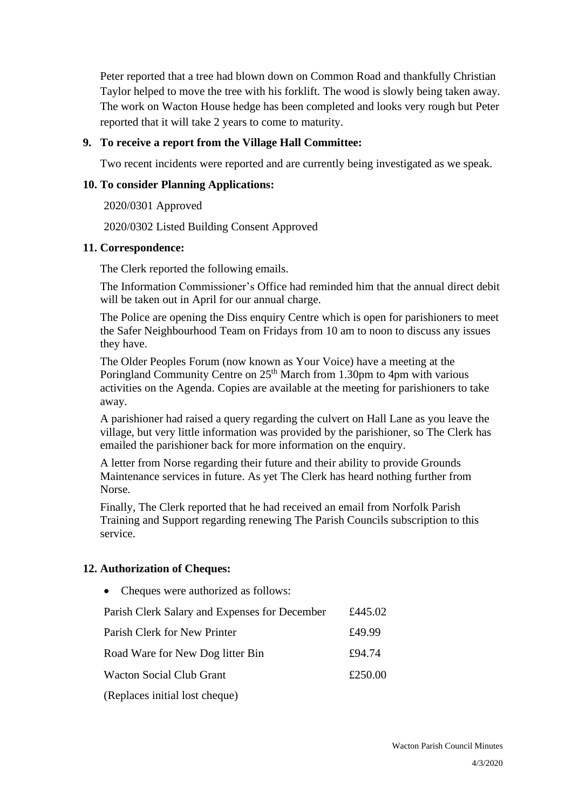Peter reported that a tree had blown down on Common Road and thankfully Christian Taylor helped to move the tree with his forklift. The wood is slowly being taken away. The work on Wacton House hedge has been completed and looks very rough but Peter reported that it will take 2 years to come to maturity.

#### **9. To receive a report from the Village Hall Committee:**

Two recent incidents were reported and are currently being investigated as we speak.

#### **10. To consider Planning Applications:**

2020/0301 Approved

2020/0302 Listed Building Consent Approved

#### **11. Correspondence:**

The Clerk reported the following emails.

The Information Commissioner's Office had reminded him that the annual direct debit will be taken out in April for our annual charge.

The Police are opening the Diss enquiry Centre which is open for parishioners to meet the Safer Neighbourhood Team on Fridays from 10 am to noon to discuss any issues they have.

The Older Peoples Forum (now known as Your Voice) have a meeting at the Poringland Community Centre on  $25<sup>th</sup>$  March from 1.30pm to 4pm with various activities on the Agenda. Copies are available at the meeting for parishioners to take away.

A parishioner had raised a query regarding the culvert on Hall Lane as you leave the village, but very little information was provided by the parishioner, so The Clerk has emailed the parishioner back for more information on the enquiry.

A letter from Norse regarding their future and their ability to provide Grounds Maintenance services in future. As yet The Clerk has heard nothing further from Norse.

Finally, The Clerk reported that he had received an email from Norfolk Parish Training and Support regarding renewing The Parish Councils subscription to this service.

## **12. Authorization of Cheques:**

• Cheques were authorized as follows: Parish Clerk Salary and Expenses for December  $£445.02$ Parish Clerk for New Printer  $£49.99$ Road Ware for New Dog litter Bin £94.74 Wacton Social Club Grant  $£250.00$ (Replaces initial lost cheque)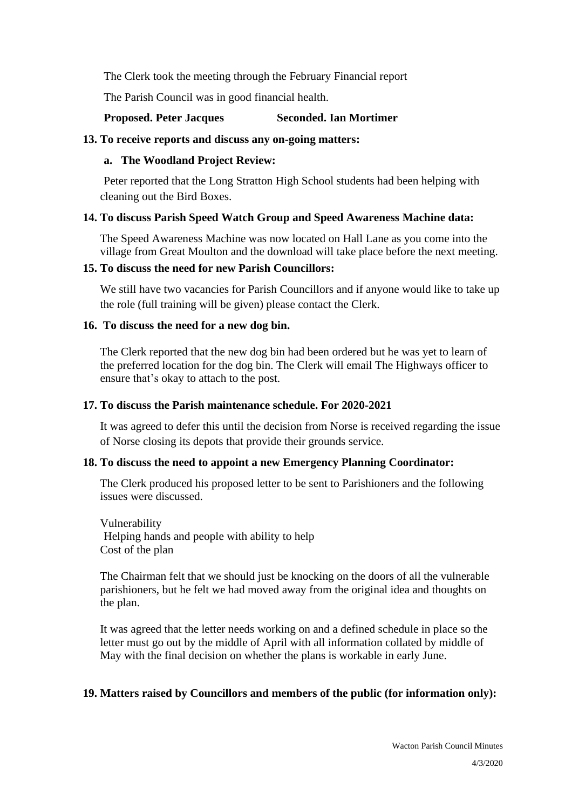The Clerk took the meeting through the February Financial report

The Parish Council was in good financial health.

## **Proposed. Peter Jacques Seconded. Ian Mortimer**

## **13. To receive reports and discuss any on-going matters:**

## **a. The Woodland Project Review:**

Peter reported that the Long Stratton High School students had been helping with cleaning out the Bird Boxes.

## **14. To discuss Parish Speed Watch Group and Speed Awareness Machine data:**

The Speed Awareness Machine was now located on Hall Lane as you come into the village from Great Moulton and the download will take place before the next meeting.

## **15. To discuss the need for new Parish Councillors:**

We still have two vacancies for Parish Councillors and if anyone would like to take up the role (full training will be given) please contact the Clerk.

## **16. To discuss the need for a new dog bin.**

The Clerk reported that the new dog bin had been ordered but he was yet to learn of the preferred location for the dog bin. The Clerk will email The Highways officer to ensure that's okay to attach to the post.

## **17. To discuss the Parish maintenance schedule. For 2020-2021**

It was agreed to defer this until the decision from Norse is received regarding the issue of Norse closing its depots that provide their grounds service.

# **18. To discuss the need to appoint a new Emergency Planning Coordinator:**

The Clerk produced his proposed letter to be sent to Parishioners and the following issues were discussed.

Vulnerability Helping hands and people with ability to help Cost of the plan

The Chairman felt that we should just be knocking on the doors of all the vulnerable parishioners, but he felt we had moved away from the original idea and thoughts on the plan.

It was agreed that the letter needs working on and a defined schedule in place so the letter must go out by the middle of April with all information collated by middle of May with the final decision on whether the plans is workable in early June.

# **19. Matters raised by Councillors and members of the public (for information only):**